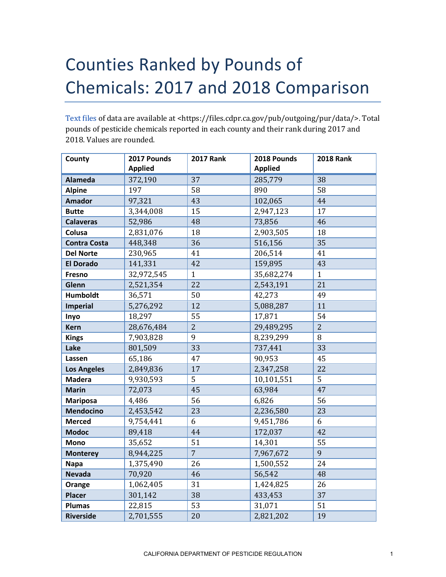## Counties Ranked by Pounds of Chemicals: 2017 and 2018 Comparison

[Text files](https://files.cdpr.ca.gov/pub/outgoing/pur/data/) of data are available at <https://files.cdpr.ca.gov/pub/outgoing/pur/data/>. Total pounds of pesticide chemicals reported in each county and their rank during 2017 and 2018. Values are rounded.

| County              | 2017 Pounds    | <b>2017 Rank</b> | 2018 Pounds    | <b>2018 Rank</b> |
|---------------------|----------------|------------------|----------------|------------------|
|                     | <b>Applied</b> |                  | <b>Applied</b> |                  |
| <b>Alameda</b>      | 372,190        | 37               | 285,779        | 38               |
| <b>Alpine</b>       | 197            | 58               | 890            | 58               |
| <b>Amador</b>       | 97,321         | 43               | 102,065        | 44               |
| <b>Butte</b>        | 3,344,008      | 15               | 2,947,123      | 17               |
| <b>Calaveras</b>    | 52,986         | 48               | 73,856         | 46               |
| Colusa              | 2,831,076      | 18               | 2,903,505      | 18               |
| <b>Contra Costa</b> | 448,348        | 36               | 516,156        | 35               |
| <b>Del Norte</b>    | 230,965        | 41               | 206,514        | 41               |
| <b>El Dorado</b>    | 141,331        | 42               | 159,895        | 43               |
| <b>Fresno</b>       | 32,972,545     | $\mathbf{1}$     | 35,682,274     | $\mathbf{1}$     |
| Glenn               | 2,521,354      | 22               | 2,543,191      | 21               |
| <b>Humboldt</b>     | 36,571         | 50               | 42,273         | 49               |
| <b>Imperial</b>     | 5,276,292      | 12               | 5,088,287      | 11               |
| Inyo                | 18,297         | 55               | 17,871         | 54               |
| <b>Kern</b>         | 28,676,484     | $\overline{2}$   | 29,489,295     | $\overline{2}$   |
| <b>Kings</b>        | 7,903,828      | 9                | 8,239,299      | 8                |
| Lake                | 801,509        | 33               | 737,441        | 33               |
| Lassen              | 65,186         | 47               | 90,953         | 45               |
| <b>Los Angeles</b>  | 2,849,836      | 17               | 2,347,258      | 22               |
| <b>Madera</b>       | 9,930,593      | 5                | 10,101,551     | 5                |
| <b>Marin</b>        | 72,073         | 45               | 63,984         | 47               |
| <b>Mariposa</b>     | 4,486          | 56               | 6,826          | 56               |
| <b>Mendocino</b>    | 2,453,542      | 23               | 2,236,580      | 23               |
| <b>Merced</b>       | 9,754,441      | 6                | 9,451,786      | 6                |
| <b>Modoc</b>        | 89,418         | 44               | 172,037        | 42               |
| <b>Mono</b>         | 35,652         | 51               | 14,301         | 55               |
| <b>Monterey</b>     | 8,944,225      | $\overline{7}$   | 7,967,672      | $\overline{9}$   |
| <b>Napa</b>         | 1,375,490      | 26               | 1,500,552      | 24               |
| <b>Nevada</b>       | 70,920         | 46               | 56,542         | 48               |
| Orange              | 1,062,405      | 31               | 1,424,825      | 26               |
| <b>Placer</b>       | 301,142        | 38               | 433,453        | 37               |
| <b>Plumas</b>       | 22,815         | 53               | 31,071         | 51               |
| <b>Riverside</b>    | 2,701,555      | 20               | 2,821,202      | 19               |